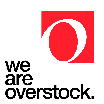# we<br>are overstock.

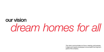## *dream homes for all* our vision

This vision communicates our focus, meaning, and purpose. It aligns and inspires employees to accomplish the long-term goals of the company.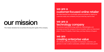## our mission

This mission declares how we achieve the long-term goals of the company.

#### we are a customer-focused online retailer

We make beautiful and comfortable spaces accessible by helping our customers easily and confidently find just what they want for less.

#### we are a technology company

We embrace leading technology platforms, methodologies, and processes across the company to focus innovation within our three brand pillars: Product Findability, Smart Value, and Easy Delivery & Support.

#### we are creating enterprise value

We cultivate a flourishing ecosystem of employees, customers, and partners in order to deliver sustainable, profitable market share growth.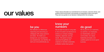These values articulate our commitment to an inclusive, outcome-driven, and<br>positive work environment, and embody our generative culture and spirit.<br>They serve as quides to our decision-making within the company. positive work environment, and embody our generative culture and spirit. They serve as guides to our decision-making within the company.

We celebrate our differences. respecting and welcoming our colleagues with unique opinions and ideas. No matter your background, your perspective, your experiences, your identity, we want you to be authentically you.

#### know your<br>numbers be you communities and the you

We are laser-focused on using data to drive innovation and decisions to achieve our company strategy, initiatives, objectives, and key results. We spend company resources thoughtfully and creatively to facilitate sustainable, profitable market share growth.

We do good for our customers, our partners, our employees, our shareholders, and our communities. Our values, leadership principles, and qualities guide how we do good business.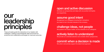### our leadership principles

These principles guide the interactions of our leaders with colleagues, creating a psychologically safe environment for productive and collaborative exchanges for improved outcomes.

#### open and active discussion

We share our perspectives and ideas with one another forthrightly and respectfully.

### assume good intent

We approach our colleagues knowing their motivations are meant to be in the best interests of the company.

#### challenge ideas, not people

We question the subject matter, not the character of our colleagues.

### actively listen to understand

We provide our undivided attention and consider others' perspectives.

### commit when a decision is made

We unite in and actively support the determined approach.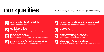## our qualities

We look for, measure, and develop these qualities in our employees so that all become empowered to be effective and valuable contributors in the organization.

#### *1* We own our actions and deliver. accountable & reliable

*2* We work together to achieve common goals of the company. collaborative

#### *3* problem solve

We synthesize information to formulate a plan and achieve a solution.

*4* productive & outcome-driven

-<br>We show consistency in taking initiative and achieving goals.



*6*

#### communicative & inspirational

We listen, motivate, and work together to achieve a common goal.

We make decisions and own them. decisive



### empowering & coach

We communicate intent and provide full support.

*8*

We are focused on company strategy, initiatives, objectives and key results. strategic & innovative